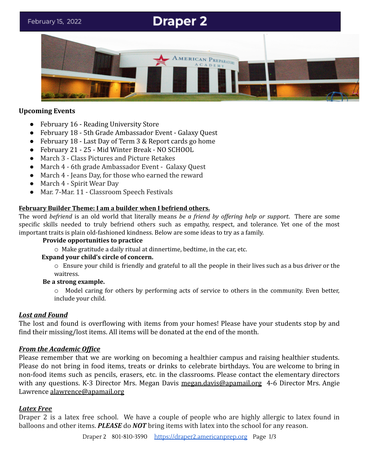# **Draper 2**



#### **Upcoming Events**

- February 16 Reading University Store
- February 18 5th Grade Ambassador Event Galaxy Quest
- February 18 Last Day of Term 3 & Report cards go home
- February 21 25 Mid Winter Break NO SCHOOL
- March 3 Class Pictures and Picture Retakes
- March 4 6th grade Ambassador Event Galaxy Quest
- March 4 Jeans Day, for those who earned the reward
- March 4 Spirit Wear Day
- Mar. 7-Mar. 11 Classroom Speech Festivals

## **February Builder Theme: I am a builder when I befriend others.**

The word *befriend* is an old world that literally means *be a friend by of ering help or support*. There are some specific skills needed to truly befriend others such as empathy, respect, and tolerance. Yet one of the most important traits is plain old-fashioned kindness. Below are some ideas to try as a family.

#### **Provide opportunities to practice**

o Make gratitude a daily ritual at dinnertime, bedtime, in the car, etc.

## **Expand your child's circle of concern.**

o Ensure your child is friendly and grateful to all the people in their lives such as a bus driver or the waitress.

## **Be a strong example.**

 $\circ$  Model caring for others by performing acts of service to others in the community. Even better, include your child.

## *Lost and Found*

The lost and found is overflowing with items from your homes! Please have your students stop by and find their missing/lost items. All items will be donated at the end of the month.

## *From the Academic Office*

Please remember that we are working on becoming a healthier campus and raising healthier students. Please do not bring in food items, treats or drinks to celebrate birthdays. You are welcome to bring in non-food items such as pencils, erasers, etc. in the classrooms. Please contact the elementary directors with any questions. K-3 Director Mrs. Megan Davis [megan.davis@apamail.org](mailto:megan.davis@apamail.org) 4-6 Director Mrs. Angie Lawrence [alawrence@apamail.org](mailto:alawrence@apamail.org)

## *Latex Free*

Draper 2 is a latex free school. We have a couple of people who are highly allergic to latex found in balloons and other items. *PLEASE* do *NOT* bring items with latex into the school for any reason.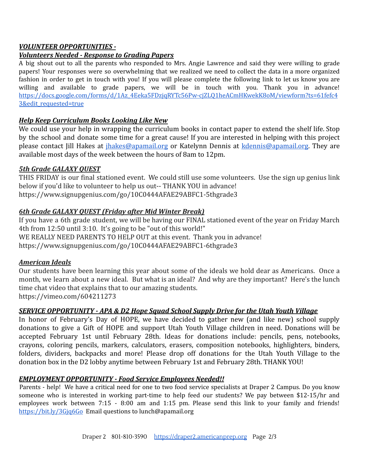# *VOLUNTEER OPPORTUNITIES -*

# *Volunteers Needed - Response to Grading Papers*

A big shout out to all the parents who responded to Mrs. Angie Lawrence and said they were willing to grade papers! Your responses were so overwhelming that we realized we need to collect the data in a more organized fashion in order to get in touch with you! If you will please complete the following link to let us know you are willing and available to grade papers, we will be in touch with you. Thank you in advance! [https://docs.google.com/forms/d/1Az\\_4Eeka5FDzjqRYTc56Pw-cjZLQ1heACmHKwekK8oM/viewform?ts=61fefc4](https://docs.google.com/forms/d/1Az_4Eeka5FDzjqRYTc56Pw-cjZLQ1heACmHKwekK8oM/viewform?ts=61fefc43&edit_requested=true) [3&edit\\_requested=true](https://docs.google.com/forms/d/1Az_4Eeka5FDzjqRYTc56Pw-cjZLQ1heACmHKwekK8oM/viewform?ts=61fefc43&edit_requested=true)

# *Help Keep Curriculum Books Looking Like New*

We could use your help in wrapping the curriculum books in contact paper to extend the shelf life. Stop by the school and donate some time for a great cause! If you are interested in helping with this project please contact Jill Hakes at [jhakes@apamail.org](mailto:jhakes@apamail.org) or Katelynn Dennis at [kdennis@apamail.org.](mailto:kdennis@apamail.org) They are available most days of the week between the hours of 8am to 12pm.

## *5th Grade GALAXY QUEST*

THIS FRIDAY is our final stationed event. We could still use some volunteers. Use the sign up genius link below if you'd like to volunteer to help us out-- THANK YOU in advance! <https://www.signupgenius.com/go/10C0444AFAE29ABFC1-5thgrade3>

# *6th Grade GALAXY QUEST (Friday after Mid Winter Break)*

If you have a 6th grade student, we will be having our FINAL stationed event of the year on Friday March 4th from 12:50 until 3:10. It's going to be "out of this world!" WE REALLY NEED PARENTS TO HELP OUT at this event. Thank you in advance! <https://www.signupgenius.com/go/10C0444AFAE29ABFC1-6thgrade3>

## *American Ideals*

Our students have been learning this year about some of the ideals we hold dear as Americans. Once a month, we learn about a new ideal. But what is an ideal? And why are they important? Here's the lunch time chat video that explains that to our amazing students. <https://vimeo.com/604211273>

## *SERVICE OPPORTUNITY - APA & D2 Hope Squad School Supply Drive for the Utah Youth Village*

In honor of February's Day of HOPE, we have decided to gather new (and like new) school supply donations to give a Gift of HOPE and support Utah Youth Village children in need. Donations will be accepted February 1st until February 28th. Ideas for donations include: pencils, pens, notebooks, crayons, coloring pencils, markers, calculators, erasers, composition notebooks, highlighters, binders, folders, dividers, backpacks and more! Please drop off donations for the Utah Youth Village to the donation box in the D2 lobby anytime between February 1st and February 28th. THANK YOU!

## *EMPLOYMENT OPPORTUNITY - Food Service Employees Needed!!*

Parents - help! We have a critical need for one to two food service specialists at Draper 2 Campus. Do you know someone who is interested in working part-time to help feed our students? We pay between \$12-15/hr and employees work between 7:15 - 8:00 am and 1:15 pm. Please send this link to your family and friends[!](https://bit.ly/3Gjq6Go) <https://bit.ly/3Gjq6Go> Email questions to lunch@apamail.org